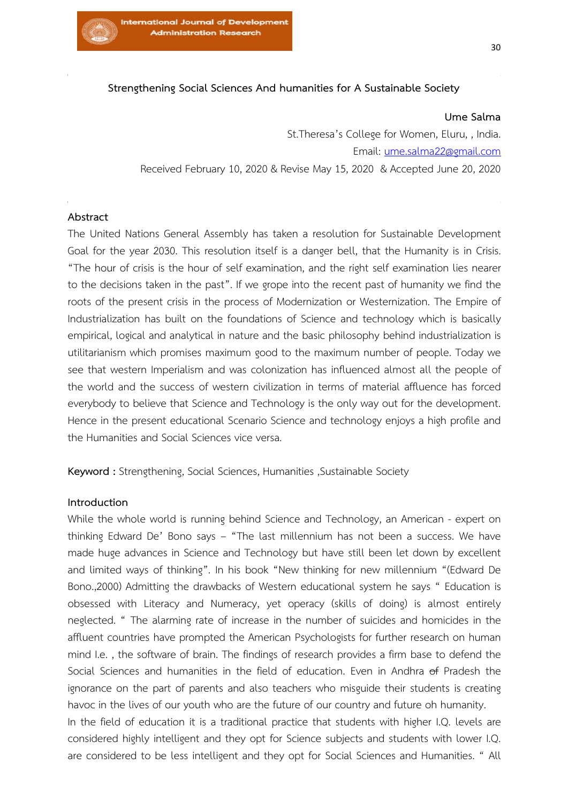

# **Strengthening Social Sciences And humanities for A Sustainable Society**

#### **Ume Salma**

St.Theresa's College for Women, Eluru, , India. Email: [ume.salma22@gmail.com](mailto:ume.salma22@gmail.com) Received February 10, 2020 & Revise May 15, 2020 & Accepted June 20, 2020

## **Abstract**

The United Nations General Assembly has taken a resolution for Sustainable Development Goal for the year 2030. This resolution itself is a danger bell, that the Humanity is in Crisis. "The hour of crisis is the hour of self examination, and the right self examination lies nearer to the decisions taken in the past". If we grope into the recent past of humanity we find the roots of the present crisis in the process of Modernization or Westernization. The Empire of Industrialization has built on the foundations of Science and technology which is basically empirical, logical and analytical in nature and the basic philosophy behind industrialization is utilitarianism which promises maximum good to the maximum number of people. Today we see that western Imperialism and was colonization has influenced almost all the people of the world and the success of western civilization in terms of material affluence has forced everybody to believe that Science and Technology is the only way out for the development. Hence in the present educational Scenario Science and technology enjoys a high profile and the Humanities and Social Sciences vice versa.

**Keyword :** Strengthening, Social Sciences, Humanities ,Sustainable Society

#### **Introduction**

While the whole world is running behind Science and Technology, an American - expert on thinking Edward De' Bono says – "The last millennium has not been a success. We have made huge advances in Science and Technology but have still been let down by excellent and limited ways of thinking". In his book "New thinking for new millennium "(Edward De Bono.,2000) Admitting the drawbacks of Western educational system he says " Education is obsessed with Literacy and Numeracy, yet operacy (skills of doing) is almost entirely neglected. " The alarming rate of increase in the number of suicides and homicides in the affluent countries have prompted the American Psychologists for further research on human mind I.e. , the software of brain. The findings of research provides a firm base to defend the Social Sciences and humanities in the field of education. Even in Andhra of Pradesh the ignorance on the part of parents and also teachers who misguide their students is creating havoc in the lives of our youth who are the future of our country and future oh humanity.

In the field of education it is a traditional practice that students with higher I.Q. levels are considered highly intelligent and they opt for Science subjects and students with lower I.Q. are considered to be less intelligent and they opt for Social Sciences and Humanities. " All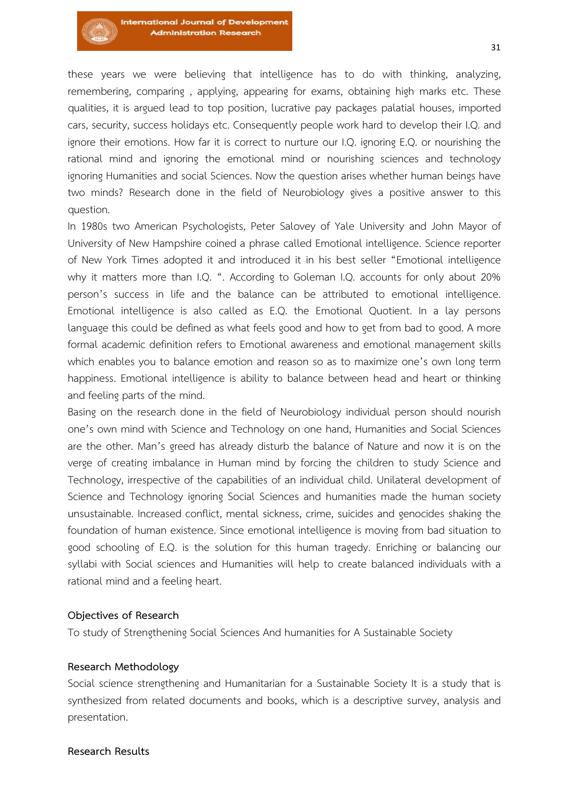these years we were believing that intelligence has to do with thinking, analyzing, remembering, comparing , applying, appearing for exams, obtaining high marks etc. These qualities, it is argued lead to top position, lucrative pay packages palatial houses, imported cars, security, success holidays etc. Consequently people work hard to develop their I.Q. and ignore their emotions. How far it is correct to nurture our I.Q. ignoring E.Q. or nourishing the rational mind and ignoring the emotional mind or nourishing sciences and technology ignoring Humanities and social Sciences. Now the question arises whether human beings have two minds? Research done in the field of Neurobiology gives a positive answer to this question.

In 1980s two American Psychologists, Peter Salovey of Yale University and John Mayor of University of New Hampshire coined a phrase called Emotional intelligence. Science reporter of New York Times adopted it and introduced it in his best seller "Emotional intelligence why it matters more than I.Q. ". According to Goleman I.Q. accounts for only about 20% person's success in life and the balance can be attributed to emotional intelligence. Emotional intelligence is also called as E.Q. the Emotional Quotient. In a lay persons language this could be defined as what feels good and how to get from bad to good. A more formal academic definition refers to Emotional awareness and emotional management skills which enables you to balance emotion and reason so as to maximize one's own long term happiness. Emotional intelligence is ability to balance between head and heart or thinking and feeling parts of the mind.

Basing on the research done in the field of Neurobiology individual person should nourish one's own mind with Science and Technology on one hand, Humanities and Social Sciences are the other. Man's greed has already disturb the balance of Nature and now it is on the verge of creating imbalance in Human mind by forcing the children to study Science and Technology, irrespective of the capabilities of an individual child. Unilateral development of Science and Technology ignoring Social Sciences and humanities made the human society unsustainable. Increased conflict, mental sickness, crime, suicides and genocides shaking the foundation of human existence. Since emotional intelligence is moving from bad situation to good schooling of E.Q. is the solution for this human tragedy. Enriching or balancing our syllabi with Social sciences and Humanities will help to create balanced individuals with a rational mind and a feeling heart.

### **Objectives of Research**

To study of Strengthening Social Sciences And humanities for A Sustainable Society

### **Research Methodology**

Social science strengthening and Humanitarian for a Sustainable Society It is a study that is synthesized from related documents and books, which is a descriptive survey, analysis and presentation.

### **Research Results**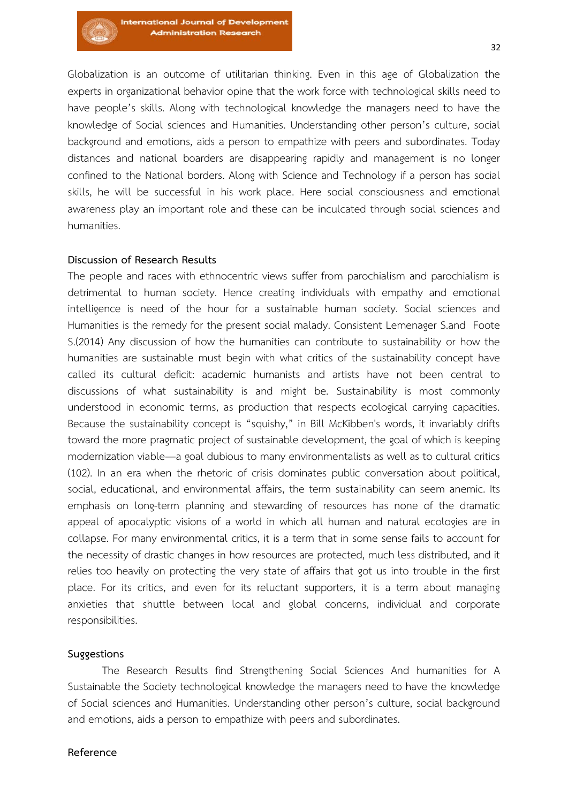Globalization is an outcome of utilitarian thinking. Even in this age of Globalization the experts in organizational behavior opine that the work force with technological skills need to have people's skills. Along with technological knowledge the managers need to have the knowledge of Social sciences and Humanities. Understanding other person's culture, social background and emotions, aids a person to empathize with peers and subordinates. Today distances and national boarders are disappearing rapidly and management is no longer confined to the National borders. Along with Science and Technology if a person has social skills, he will be successful in his work place. Here social consciousness and emotional awareness play an important role and these can be inculcated through social sciences and humanities.

# **Discussion of Research Results**

The people and races with ethnocentric views suffer from parochialism and parochialism is detrimental to human society. Hence creating individuals with empathy and emotional intelligence is need of the hour for a sustainable human society. Social sciences and Humanities is the remedy for the present social malady. Consistent Lemenager S.and Foote S.(2014) Any discussion of how the humanities can contribute to sustainability or how the humanities are sustainable must begin with what critics of the sustainability concept have called its cultural deficit: academic humanists and artists have not been central to discussions of what sustainability is and might be. Sustainability is most commonly understood in economic terms, as production that respects ecological carrying capacities. Because the sustainability concept is "squishy," in Bill McKibben's words, it invariably drifts toward the more pragmatic project of sustainable development, the goal of which is keeping modernization viable—a goal dubious to many environmentalists as well as to cultural critics (102). In an era when the rhetoric of crisis dominates public conversation about political, social, educational, and environmental affairs, the term sustainability can seem anemic. Its emphasis on long-term planning and stewarding of resources has none of the dramatic appeal of apocalyptic visions of a world in which all human and natural ecologies are in collapse. For many environmental critics, it is a term that in some sense fails to account for the necessity of drastic changes in how resources are protected, much less distributed, and it relies too heavily on protecting the very state of affairs that got us into trouble in the first place. For its critics, and even for its reluctant supporters, it is a term about managing anxieties that shuttle between local and global concerns, individual and corporate responsibilities.

### **Suggestions**

The Research Results find Strengthening Social Sciences And humanities for A Sustainable the Society technological knowledge the managers need to have the knowledge of Social sciences and Humanities. Understanding other person's culture, social background and emotions, aids a person to empathize with peers and subordinates.